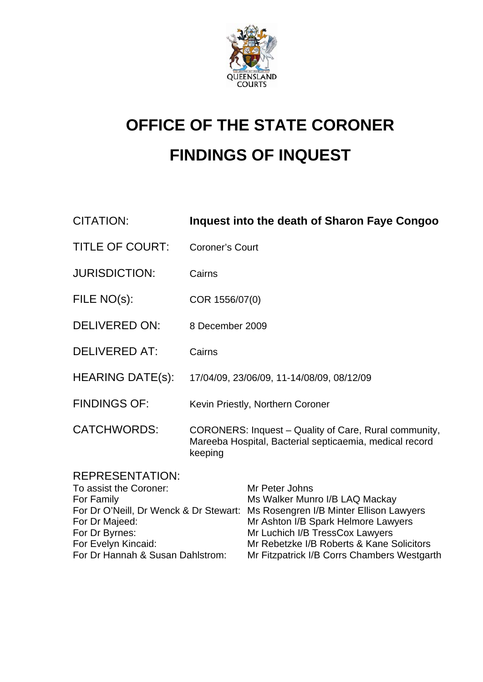

# **OFFICE OF THE STATE CORONER FINDINGS OF INQUEST**

| CITATION:              | Inquest into the death of Sharon Faye Congoo                                                                                |
|------------------------|-----------------------------------------------------------------------------------------------------------------------------|
| <b>TITLE OF COURT:</b> | <b>Coroner's Court</b>                                                                                                      |
| <b>JURISDICTION:</b>   | Cairns                                                                                                                      |
| FILE NO(s):            | COR 1556/07(0)                                                                                                              |
| <b>DELIVERED ON:</b>   | 8 December 2009                                                                                                             |
| <b>DELIVERED AT:</b>   | Cairns                                                                                                                      |
| HEARING DATE(s):       | 17/04/09, 23/06/09, 11-14/08/09, 08/12/09                                                                                   |
| <b>FINDINGS OF:</b>    | Kevin Priestly, Northern Coroner                                                                                            |
| <b>CATCHWORDS:</b>     | CORONERS: Inquest - Quality of Care, Rural community,<br>Mareeba Hospital, Bacterial septicaemia, medical record<br>keeping |
| <b>REPRESENTATION:</b> |                                                                                                                             |

| To assist the Coroner:           | Mr Peter Johns                                                                 |
|----------------------------------|--------------------------------------------------------------------------------|
| For Family                       | Ms Walker Munro I/B LAQ Mackay                                                 |
|                                  | For Dr O'Neill, Dr Wenck & Dr Stewart: Ms Rosengren I/B Minter Ellison Lawyers |
| For Dr Majeed:                   | Mr Ashton I/B Spark Helmore Lawyers                                            |
| For Dr Byrnes:                   | Mr Luchich I/B TressCox Lawyers                                                |
| For Evelyn Kincaid:              | Mr Rebetzke I/B Roberts & Kane Solicitors                                      |
| For Dr Hannah & Susan Dahlstrom: | Mr Fitzpatrick I/B Corrs Chambers Westgarth                                    |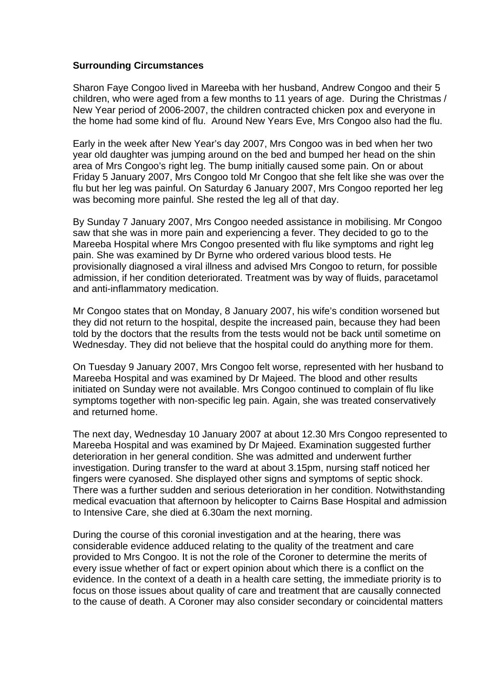#### **Surrounding Circumstances**

Sharon Faye Congoo lived in Mareeba with her husband, Andrew Congoo and their 5 children, who were aged from a few months to 11 years of age. During the Christmas / New Year period of 2006-2007, the children contracted chicken pox and everyone in the home had some kind of flu. Around New Years Eve, Mrs Congoo also had the flu.

Early in the week after New Year's day 2007, Mrs Congoo was in bed when her two year old daughter was jumping around on the bed and bumped her head on the shin area of Mrs Congoo's right leg. The bump initially caused some pain. On or about Friday 5 January 2007, Mrs Congoo told Mr Congoo that she felt like she was over the flu but her leg was painful. On Saturday 6 January 2007, Mrs Congoo reported her leg was becoming more painful. She rested the leg all of that day.

By Sunday 7 January 2007, Mrs Congoo needed assistance in mobilising. Mr Congoo saw that she was in more pain and experiencing a fever. They decided to go to the Mareeba Hospital where Mrs Congoo presented with flu like symptoms and right leg pain. She was examined by Dr Byrne who ordered various blood tests. He provisionally diagnosed a viral illness and advised Mrs Congoo to return, for possible admission, if her condition deteriorated. Treatment was by way of fluids, paracetamol and anti-inflammatory medication.

Mr Congoo states that on Monday, 8 January 2007, his wife's condition worsened but they did not return to the hospital, despite the increased pain, because they had been told by the doctors that the results from the tests would not be back until sometime on Wednesday. They did not believe that the hospital could do anything more for them.

On Tuesday 9 January 2007, Mrs Congoo felt worse, represented with her husband to Mareeba Hospital and was examined by Dr Majeed. The blood and other results initiated on Sunday were not available. Mrs Congoo continued to complain of flu like symptoms together with non-specific leg pain. Again, she was treated conservatively and returned home.

The next day, Wednesday 10 January 2007 at about 12.30 Mrs Congoo represented to Mareeba Hospital and was examined by Dr Majeed. Examination suggested further deterioration in her general condition. She was admitted and underwent further investigation. During transfer to the ward at about 3.15pm, nursing staff noticed her fingers were cyanosed. She displayed other signs and symptoms of septic shock. There was a further sudden and serious deterioration in her condition. Notwithstanding medical evacuation that afternoon by helicopter to Cairns Base Hospital and admission to Intensive Care, she died at 6.30am the next morning.

During the course of this coronial investigation and at the hearing, there was considerable evidence adduced relating to the quality of the treatment and care provided to Mrs Congoo. It is not the role of the Coroner to determine the merits of every issue whether of fact or expert opinion about which there is a conflict on the evidence. In the context of a death in a health care setting, the immediate priority is to focus on those issues about quality of care and treatment that are causally connected to the cause of death. A Coroner may also consider secondary or coincidental matters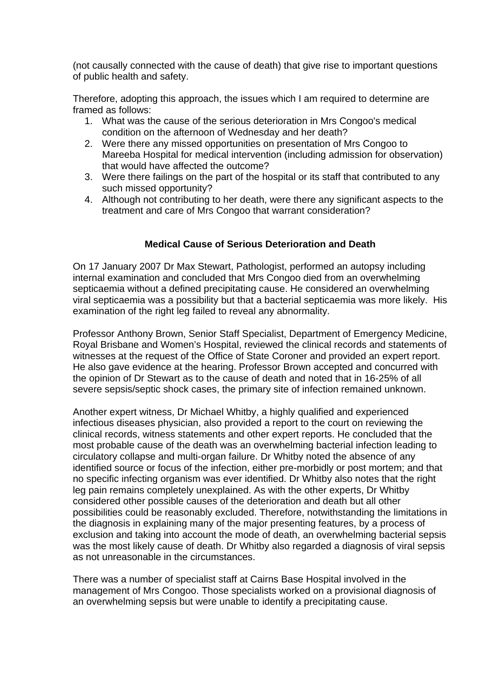(not causally connected with the cause of death) that give rise to important questions of public health and safety.

Therefore, adopting this approach, the issues which I am required to determine are framed as follows:

- 1. What was the cause of the serious deterioration in Mrs Congoo's medical condition on the afternoon of Wednesday and her death?
- 2. Were there any missed opportunities on presentation of Mrs Congoo to Mareeba Hospital for medical intervention (including admission for observation) that would have affected the outcome?
- 3. Were there failings on the part of the hospital or its staff that contributed to any such missed opportunity?
- 4. Although not contributing to her death, were there any significant aspects to the treatment and care of Mrs Congoo that warrant consideration?

## **Medical Cause of Serious Deterioration and Death**

On 17 January 2007 Dr Max Stewart, Pathologist, performed an autopsy including internal examination and concluded that Mrs Congoo died from an overwhelming septicaemia without a defined precipitating cause. He considered an overwhelming viral septicaemia was a possibility but that a bacterial septicaemia was more likely. His examination of the right leg failed to reveal any abnormality.

Professor Anthony Brown, Senior Staff Specialist, Department of Emergency Medicine, Royal Brisbane and Women's Hospital, reviewed the clinical records and statements of witnesses at the request of the Office of State Coroner and provided an expert report. He also gave evidence at the hearing. Professor Brown accepted and concurred with the opinion of Dr Stewart as to the cause of death and noted that in 16-25% of all severe sepsis/septic shock cases, the primary site of infection remained unknown.

Another expert witness, Dr Michael Whitby, a highly qualified and experienced infectious diseases physician, also provided a report to the court on reviewing the clinical records, witness statements and other expert reports. He concluded that the most probable cause of the death was an overwhelming bacterial infection leading to circulatory collapse and multi-organ failure. Dr Whitby noted the absence of any identified source or focus of the infection, either pre-morbidly or post mortem; and that no specific infecting organism was ever identified. Dr Whitby also notes that the right leg pain remains completely unexplained. As with the other experts, Dr Whitby considered other possible causes of the deterioration and death but all other possibilities could be reasonably excluded. Therefore, notwithstanding the limitations in the diagnosis in explaining many of the major presenting features, by a process of exclusion and taking into account the mode of death, an overwhelming bacterial sepsis was the most likely cause of death. Dr Whitby also regarded a diagnosis of viral sepsis as not unreasonable in the circumstances.

There was a number of specialist staff at Cairns Base Hospital involved in the management of Mrs Congoo. Those specialists worked on a provisional diagnosis of an overwhelming sepsis but were unable to identify a precipitating cause.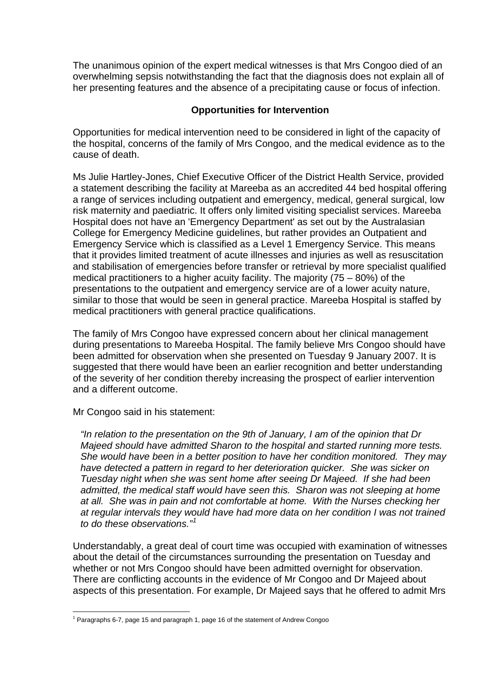The unanimous opinion of the expert medical witnesses is that Mrs Congoo died of an overwhelming sepsis notwithstanding the fact that the diagnosis does not explain all of her presenting features and the absence of a precipitating cause or focus of infection.

## **Opportunities for Intervention**

Opportunities for medical intervention need to be considered in light of the capacity of the hospital, concerns of the family of Mrs Congoo, and the medical evidence as to the cause of death.

Ms Julie Hartley-Jones, Chief Executive Officer of the District Health Service, provided a statement describing the facility at Mareeba as an accredited 44 bed hospital offering a range of services including outpatient and emergency, medical, general surgical, low risk maternity and paediatric. It offers only limited visiting specialist services. Mareeba Hospital does not have an 'Emergency Department' as set out by the Australasian College for Emergency Medicine guidelines, but rather provides an Outpatient and Emergency Service which is classified as a Level 1 Emergency Service. This means that it provides limited treatment of acute illnesses and injuries as well as resuscitation and stabilisation of emergencies before transfer or retrieval by more specialist qualified medical practitioners to a higher acuity facility. The majority (75 – 80%) of the presentations to the outpatient and emergency service are of a lower acuity nature, similar to those that would be seen in general practice. Mareeba Hospital is staffed by medical practitioners with general practice qualifications.

The family of Mrs Congoo have expressed concern about her clinical management during presentations to Mareeba Hospital. The family believe Mrs Congoo should have been admitted for observation when she presented on Tuesday 9 January 2007. It is suggested that there would have been an earlier recognition and better understanding of the severity of her condition thereby increasing the prospect of earlier intervention and a different outcome.

Mr Congoo said in his statement:

*"In relation to the presentation on the 9th of January, I am of the opinion that Dr Majeed should have admitted Sharon to the hospital and started running more tests. She would have been in a better position to have her condition monitored. They may have detected a pattern in regard to her deterioration quicker. She was sicker on Tuesday night when she was sent home after seeing Dr Majeed. If she had been admitted, the medical staff would have seen this. Sharon was not sleeping at home at all. She was in pain and not comfortable at home. With the Nurses checking her at regular intervals they would have had more data on her condition I was not trained to do these observations."[1](#page-3-0)*

Understandably, a great deal of court time was occupied with examination of witnesses about the detail of the circumstances surrounding the presentation on Tuesday and whether or not Mrs Congoo should have been admitted overnight for observation. There are conflicting accounts in the evidence of Mr Congoo and Dr Majeed about aspects of this presentation. For example, Dr Majeed says that he offered to admit Mrs

<span id="page-3-0"></span> 1 Paragraphs 6-7, page 15 and paragraph 1, page 16 of the statement of Andrew Congoo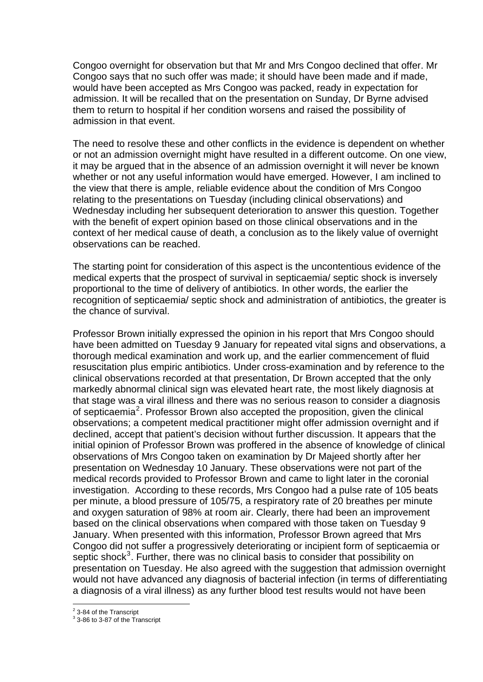Congoo overnight for observation but that Mr and Mrs Congoo declined that offer. Mr Congoo says that no such offer was made; it should have been made and if made, would have been accepted as Mrs Congoo was packed, ready in expectation for admission. It will be recalled that on the presentation on Sunday, Dr Byrne advised them to return to hospital if her condition worsens and raised the possibility of admission in that event.

The need to resolve these and other conflicts in the evidence is dependent on whether or not an admission overnight might have resulted in a different outcome. On one view, it may be argued that in the absence of an admission overnight it will never be known whether or not any useful information would have emerged. However, I am inclined to the view that there is ample, reliable evidence about the condition of Mrs Congoo relating to the presentations on Tuesday (including clinical observations) and Wednesday including her subsequent deterioration to answer this question. Together with the benefit of expert opinion based on those clinical observations and in the context of her medical cause of death, a conclusion as to the likely value of overnight observations can be reached.

The starting point for consideration of this aspect is the uncontentious evidence of the medical experts that the prospect of survival in septicaemia/ septic shock is inversely proportional to the time of delivery of antibiotics. In other words, the earlier the recognition of septicaemia/ septic shock and administration of antibiotics, the greater is the chance of survival.

Professor Brown initially expressed the opinion in his report that Mrs Congoo should have been admitted on Tuesday 9 January for repeated vital signs and observations, a thorough medical examination and work up, and the earlier commencement of fluid resuscitation plus empiric antibiotics. Under cross-examination and by reference to the clinical observations recorded at that presentation, Dr Brown accepted that the only markedly abnormal clinical sign was elevated heart rate, the most likely diagnosis at that stage was a viral illness and there was no serious reason to consider a diagnosis of septicaemia<sup>[2](#page-4-0)</sup>. Professor Brown also accepted the proposition, given the clinical observations; a competent medical practitioner might offer admission overnight and if declined, accept that patient's decision without further discussion. It appears that the initial opinion of Professor Brown was proffered in the absence of knowledge of clinical observations of Mrs Congoo taken on examination by Dr Majeed shortly after her presentation on Wednesday 10 January. These observations were not part of the medical records provided to Professor Brown and came to light later in the coronial investigation. According to these records, Mrs Congoo had a pulse rate of 105 beats per minute, a blood pressure of 105/75, a respiratory rate of 20 breathes per minute and oxygen saturation of 98% at room air. Clearly, there had been an improvement based on the clinical observations when compared with those taken on Tuesday 9 January. When presented with this information, Professor Brown agreed that Mrs Congoo did not suffer a progressively deteriorating or incipient form of septicaemia or septic shock<sup>[3](#page-4-1)</sup>. Further, there was no clinical basis to consider that possibility on presentation on Tuesday. He also agreed with the suggestion that admission overnight would not have advanced any diagnosis of bacterial infection (in terms of differentiating a diagnosis of a viral illness) as any further blood test results would not have been

<sup>&</sup>lt;sup>2</sup> 3-84 of the Transcript

<span id="page-4-1"></span><span id="page-4-0"></span><sup>&</sup>lt;sup>3</sup> 3-86 to 3-87 of the Transcript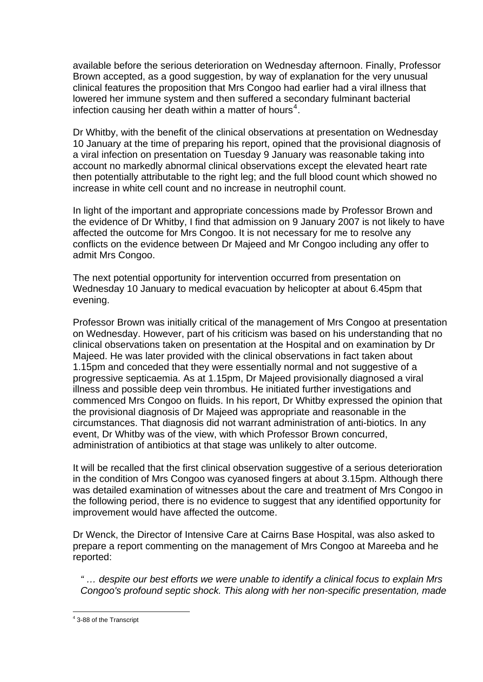available before the serious deterioration on Wednesday afternoon. Finally, Professor Brown accepted, as a good suggestion, by way of explanation for the very unusual clinical features the proposition that Mrs Congoo had earlier had a viral illness that lowered her immune system and then suffered a secondary fulminant bacterial infection causing her death within a matter of hours<sup>[4](#page-5-0)</sup>.

Dr Whitby, with the benefit of the clinical observations at presentation on Wednesday 10 January at the time of preparing his report, opined that the provisional diagnosis of a viral infection on presentation on Tuesday 9 January was reasonable taking into account no markedly abnormal clinical observations except the elevated heart rate then potentially attributable to the right leg; and the full blood count which showed no increase in white cell count and no increase in neutrophil count.

In light of the important and appropriate concessions made by Professor Brown and the evidence of Dr Whitby, I find that admission on 9 January 2007 is not likely to have affected the outcome for Mrs Congoo. It is not necessary for me to resolve any conflicts on the evidence between Dr Majeed and Mr Congoo including any offer to admit Mrs Congoo.

The next potential opportunity for intervention occurred from presentation on Wednesday 10 January to medical evacuation by helicopter at about 6.45pm that evening.

Professor Brown was initially critical of the management of Mrs Congoo at presentation on Wednesday. However, part of his criticism was based on his understanding that no clinical observations taken on presentation at the Hospital and on examination by Dr Majeed. He was later provided with the clinical observations in fact taken about 1.15pm and conceded that they were essentially normal and not suggestive of a progressive septicaemia. As at 1.15pm, Dr Majeed provisionally diagnosed a viral illness and possible deep vein thrombus. He initiated further investigations and commenced Mrs Congoo on fluids. In his report, Dr Whitby expressed the opinion that the provisional diagnosis of Dr Majeed was appropriate and reasonable in the circumstances. That diagnosis did not warrant administration of anti-biotics. In any event, Dr Whitby was of the view, with which Professor Brown concurred, administration of antibiotics at that stage was unlikely to alter outcome.

It will be recalled that the first clinical observation suggestive of a serious deterioration in the condition of Mrs Congoo was cyanosed fingers at about 3.15pm. Although there was detailed examination of witnesses about the care and treatment of Mrs Congoo in the following period, there is no evidence to suggest that any identified opportunity for improvement would have affected the outcome.

Dr Wenck, the Director of Intensive Care at Cairns Base Hospital, was also asked to prepare a report commenting on the management of Mrs Congoo at Mareeba and he reported:

*" … despite our best efforts we were unable to identify a clinical focus to explain Mrs Congoo's profound septic shock. This along with her non-specific presentation, made* 

<span id="page-5-0"></span> 4 3-88 of the Transcript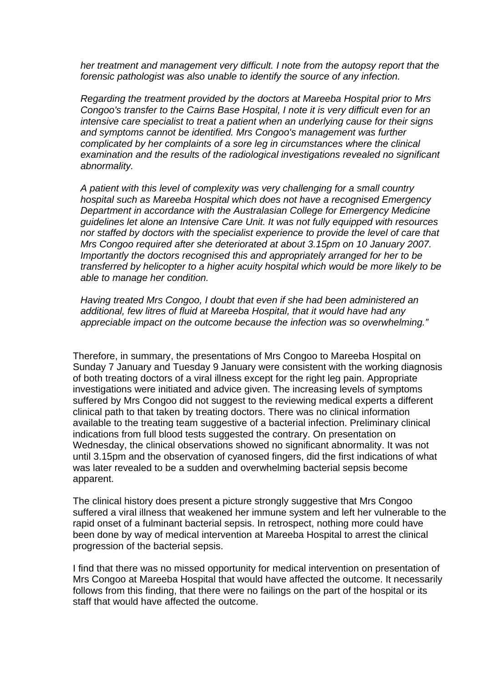*her treatment and management very difficult. I note from the autopsy report that the forensic pathologist was also unable to identify the source of any infection.* 

*Regarding the treatment provided by the doctors at Mareeba Hospital prior to Mrs Congoo's transfer to the Cairns Base Hospital, I note it is very difficult even for an intensive care specialist to treat a patient when an underlying cause for their signs and symptoms cannot be identified. Mrs Congoo's management was further complicated by her complaints of a sore leg in circumstances where the clinical examination and the results of the radiological investigations revealed no significant abnormality.* 

*A patient with this level of complexity was very challenging for a small country hospital such as Mareeba Hospital which does not have a recognised Emergency Department in accordance with the Australasian College for Emergency Medicine guidelines let alone an Intensive Care Unit. It was not fully equipped with resources nor staffed by doctors with the specialist experience to provide the level of care that Mrs Congoo required after she deteriorated at about 3.15pm on 10 January 2007. Importantly the doctors recognised this and appropriately arranged for her to be transferred by helicopter to a higher acuity hospital which would be more likely to be able to manage her condition.* 

*Having treated Mrs Congoo, I doubt that even if she had been administered an additional, few litres of fluid at Mareeba Hospital, that it would have had any appreciable impact on the outcome because the infection was so overwhelming."* 

Therefore, in summary, the presentations of Mrs Congoo to Mareeba Hospital on Sunday 7 January and Tuesday 9 January were consistent with the working diagnosis of both treating doctors of a viral illness except for the right leg pain. Appropriate investigations were initiated and advice given. The increasing levels of symptoms suffered by Mrs Congoo did not suggest to the reviewing medical experts a different clinical path to that taken by treating doctors. There was no clinical information available to the treating team suggestive of a bacterial infection. Preliminary clinical indications from full blood tests suggested the contrary. On presentation on Wednesday, the clinical observations showed no significant abnormality. It was not until 3.15pm and the observation of cyanosed fingers, did the first indications of what was later revealed to be a sudden and overwhelming bacterial sepsis become apparent.

The clinical history does present a picture strongly suggestive that Mrs Congoo suffered a viral illness that weakened her immune system and left her vulnerable to the rapid onset of a fulminant bacterial sepsis. In retrospect, nothing more could have been done by way of medical intervention at Mareeba Hospital to arrest the clinical progression of the bacterial sepsis.

I find that there was no missed opportunity for medical intervention on presentation of Mrs Congoo at Mareeba Hospital that would have affected the outcome. It necessarily follows from this finding, that there were no failings on the part of the hospital or its staff that would have affected the outcome.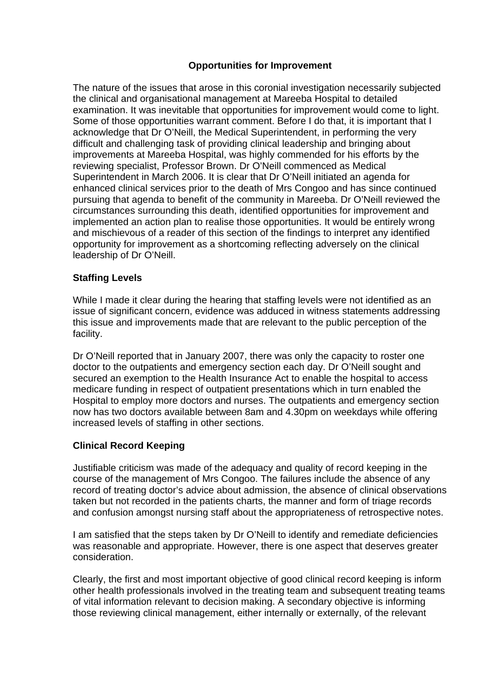## **Opportunities for Improvement**

The nature of the issues that arose in this coronial investigation necessarily subjected the clinical and organisational management at Mareeba Hospital to detailed examination. It was inevitable that opportunities for improvement would come to light. Some of those opportunities warrant comment. Before I do that, it is important that I acknowledge that Dr O'Neill, the Medical Superintendent, in performing the very difficult and challenging task of providing clinical leadership and bringing about improvements at Mareeba Hospital, was highly commended for his efforts by the reviewing specialist, Professor Brown. Dr O'Neill commenced as Medical Superintendent in March 2006. It is clear that Dr O'Neill initiated an agenda for enhanced clinical services prior to the death of Mrs Congoo and has since continued pursuing that agenda to benefit of the community in Mareeba. Dr O'Neill reviewed the circumstances surrounding this death, identified opportunities for improvement and implemented an action plan to realise those opportunities. It would be entirely wrong and mischievous of a reader of this section of the findings to interpret any identified opportunity for improvement as a shortcoming reflecting adversely on the clinical leadership of Dr O'Neill.

## **Staffing Levels**

While I made it clear during the hearing that staffing levels were not identified as an issue of significant concern, evidence was adduced in witness statements addressing this issue and improvements made that are relevant to the public perception of the facility.

Dr O'Neill reported that in January 2007, there was only the capacity to roster one doctor to the outpatients and emergency section each day. Dr O'Neill sought and secured an exemption to the Health Insurance Act to enable the hospital to access medicare funding in respect of outpatient presentations which in turn enabled the Hospital to employ more doctors and nurses. The outpatients and emergency section now has two doctors available between 8am and 4.30pm on weekdays while offering increased levels of staffing in other sections.

## **Clinical Record Keeping**

Justifiable criticism was made of the adequacy and quality of record keeping in the course of the management of Mrs Congoo. The failures include the absence of any record of treating doctor's advice about admission, the absence of clinical observations taken but not recorded in the patients charts, the manner and form of triage records and confusion amongst nursing staff about the appropriateness of retrospective notes.

I am satisfied that the steps taken by Dr O'Neill to identify and remediate deficiencies was reasonable and appropriate. However, there is one aspect that deserves greater consideration.

Clearly, the first and most important objective of good clinical record keeping is inform other health professionals involved in the treating team and subsequent treating teams of vital information relevant to decision making. A secondary objective is informing those reviewing clinical management, either internally or externally, of the relevant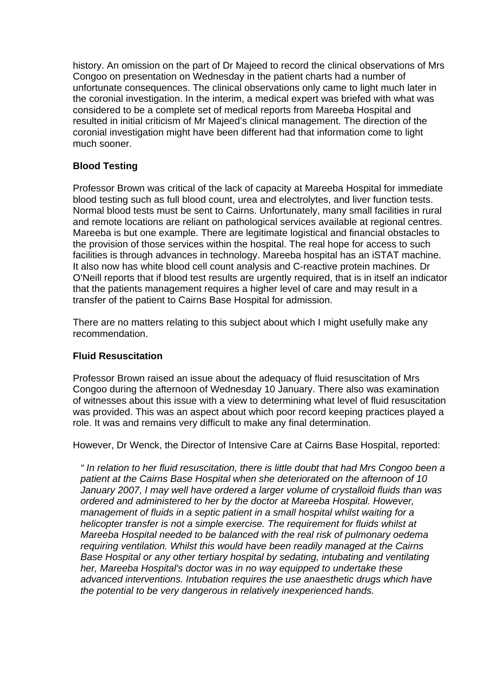history. An omission on the part of Dr Majeed to record the clinical observations of Mrs Congoo on presentation on Wednesday in the patient charts had a number of unfortunate consequences. The clinical observations only came to light much later in the coronial investigation. In the interim, a medical expert was briefed with what was considered to be a complete set of medical reports from Mareeba Hospital and resulted in initial criticism of Mr Majeed's clinical management. The direction of the coronial investigation might have been different had that information come to light much sooner.

# **Blood Testing**

Professor Brown was critical of the lack of capacity at Mareeba Hospital for immediate blood testing such as full blood count, urea and electrolytes, and liver function tests. Normal blood tests must be sent to Cairns. Unfortunately, many small facilities in rural and remote locations are reliant on pathological services available at regional centres. Mareeba is but one example. There are legitimate logistical and financial obstacles to the provision of those services within the hospital. The real hope for access to such facilities is through advances in technology. Mareeba hospital has an iSTAT machine. It also now has white blood cell count analysis and C-reactive protein machines. Dr O'Neill reports that if blood test results are urgently required, that is in itself an indicator that the patients management requires a higher level of care and may result in a transfer of the patient to Cairns Base Hospital for admission.

There are no matters relating to this subject about which I might usefully make any recommendation.

#### **Fluid Resuscitation**

Professor Brown raised an issue about the adequacy of fluid resuscitation of Mrs Congoo during the afternoon of Wednesday 10 January. There also was examination of witnesses about this issue with a view to determining what level of fluid resuscitation was provided. This was an aspect about which poor record keeping practices played a role. It was and remains very difficult to make any final determination.

However, Dr Wenck, the Director of Intensive Care at Cairns Base Hospital, reported:

*" In relation to her fluid resuscitation, there is little doubt that had Mrs Congoo been a patient at the Cairns Base Hospital when she deteriorated on the afternoon of 10 January 2007, I may well have ordered a larger volume of crystalloid fluids than was ordered and administered to her by the doctor at Mareeba Hospital. However, management of fluids in a septic patient in a small hospital whilst waiting for a helicopter transfer is not a simple exercise. The requirement for fluids whilst at Mareeba Hospital needed to be balanced with the real risk of pulmonary oedema requiring ventilation. Whilst this would have been readily managed at the Cairns Base Hospital or any other tertiary hospital by sedating, intubating and ventilating her, Mareeba Hospital's doctor was in no way equipped to undertake these advanced interventions. Intubation requires the use anaesthetic drugs which have the potential to be very dangerous in relatively inexperienced hands.*